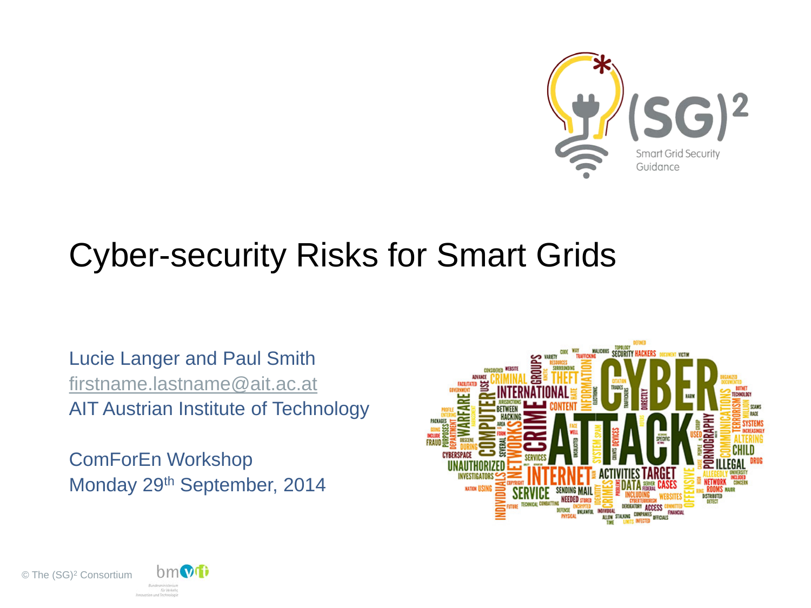

#### Cyber-security Risks for Smart Grids

Lucie Langer and Paul Smith [firstname.lastname@ait.ac.at](mailto:firstname.lastname@ait.ac.at) AIT Austrian Institute of Technology

ComForEn Workshop Monday 29th September, 2014





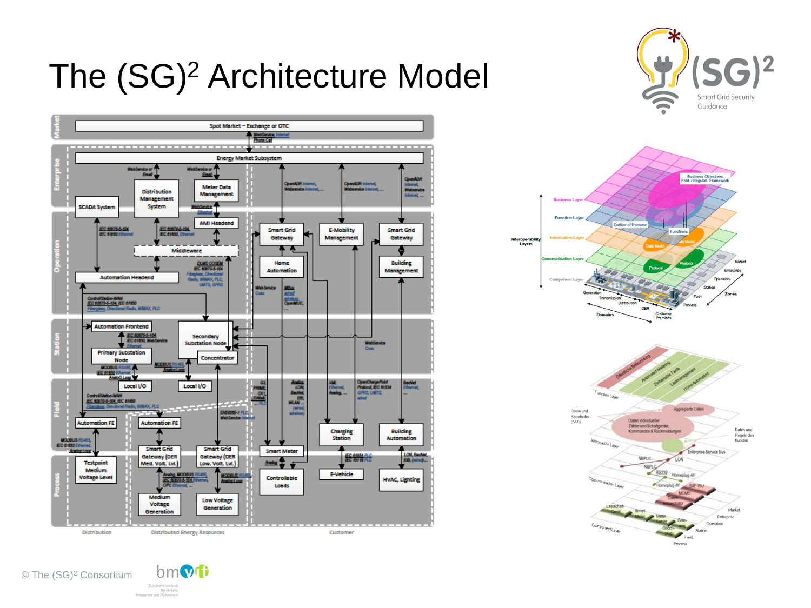





**Experab**<br>Layers

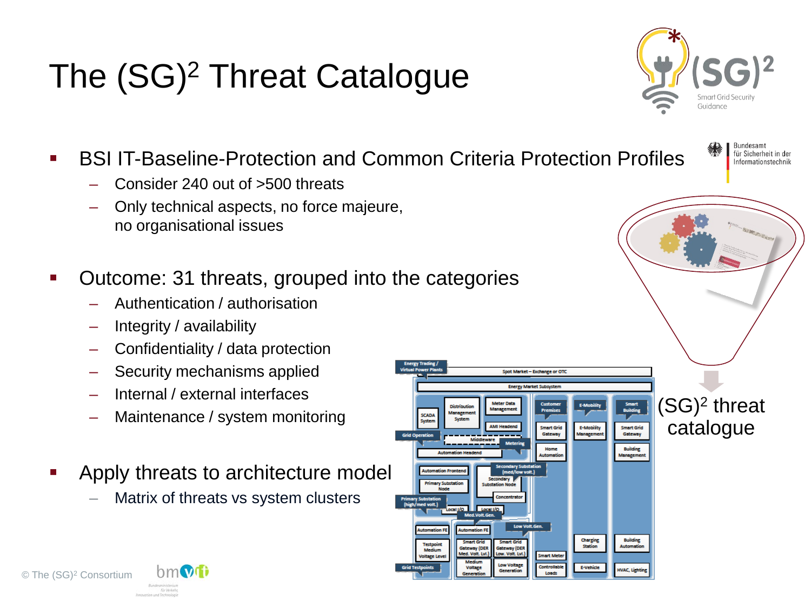# The (SG)<sup>2</sup> Threat Catalogue



**Bundesamt** für Sicherheit in der Informationstechnik

- BSI IT-Baseline-Protection and Common Criteria Protection Profiles
	- Consider 240 out of >500 threats
	- Only technical aspects, no force majeure, no organisational issues
- Outcome: 31 threats, grouped into the categories
	- Authentication / authorisation
	- Integrity / availability
	- Confidentiality / data protection
	- Security mechanisms applied
	- Internal / external interfaces
	- Maintenance / system monitoring
- Apply threats to architecture model
	- Matrix of threats vs system clusters



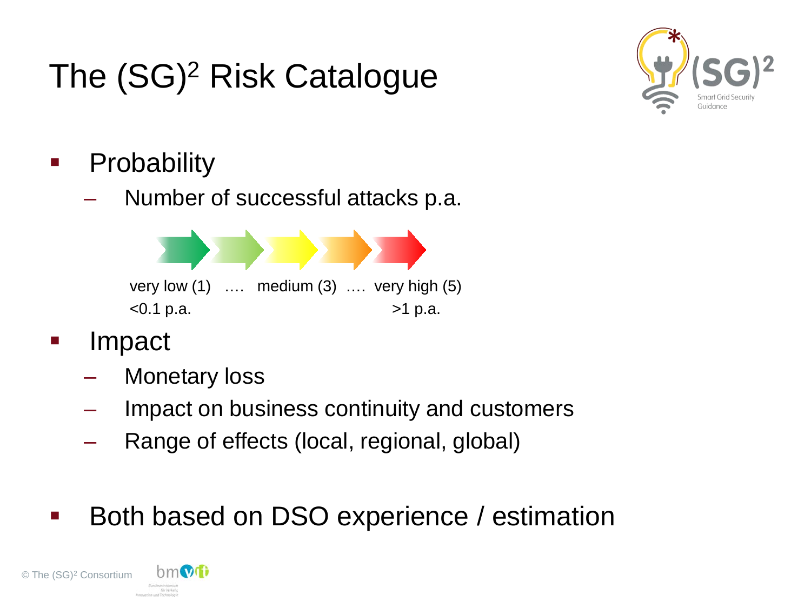# The (SG)<sup>2</sup> Risk Catalogue



- **Probability** 
	- Number of successful attacks p.a.



- Impact
	- Monetary loss
	- Impact on business continuity and customers
	- Range of effects (local, regional, global)
- Both based on DSO experience / estimation

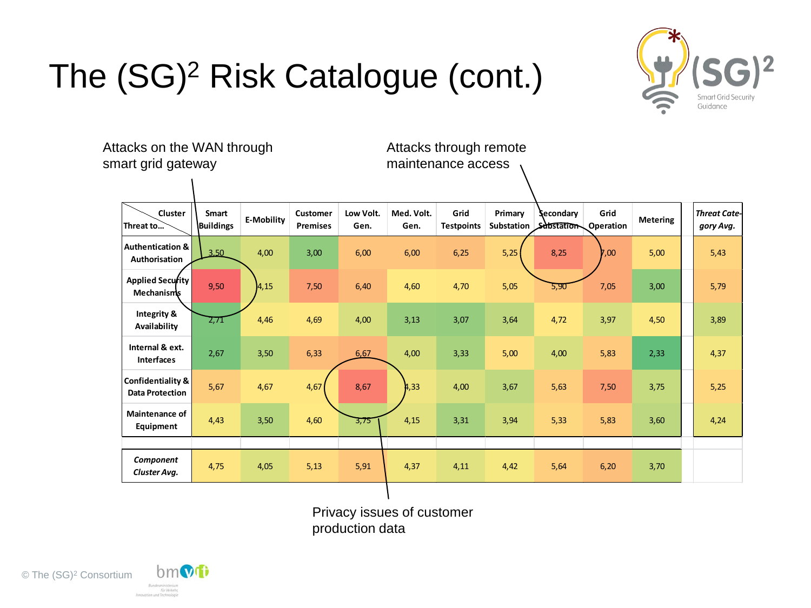



 **Cluster Threat to… Smart Buildings E-Mobility Customer Premises Low Volt. Gen. Med. Volt. Gen. Grid Testpoints Primary Substation Secondary Substation Grid Operation** Metering *Threat Cate*<br> **Condition** Metering *aory Avg. gory Avg.* **Authentication & Authorisation** 3,50 4,00 3,00 6,00 6,00 6,25 5,25 8,25 7,00 5,00 5,43  **Applied Security Mechanisms** 9,50 4,15 7,50 6,40 4,60 4,70 5,05 5,90 7,05 3,00 5,79 **Integrity &**  Availability 2,71 4,46 4,69 4,00 3,13 3,07 3,64 4,72 3,97 4,50 3,89<br>Availability **Internal & ext. Interfaces** 2,67 3,50 6,33 6,67 4,00 3,33 5,00 4,00 5,83 2,33 4,37 **Confidentiality & Data Protection 5,67 4,67 4,67 8,67 4,33 4,00 3,67 5,63 7,50 3,75 5,25 Maintenance of Equipment** 4,43 3,50 4,60 3,75 4,15 3,31 3,94 5,33 5,83 3,60 4,24 *Component Cluster Avg.* 4,75 4,05 5,13 5,91 4,37 4,11 4,42 5,64 6,20 3,70 Attacks on the WAN through smart grid gateway Attacks through remote maintenance access

> Privacy issues of customer production data



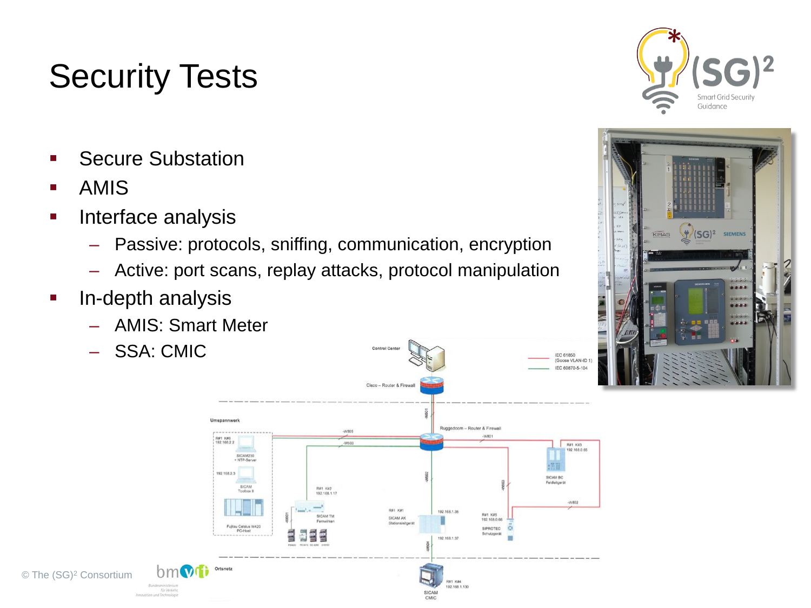## Security Tests

- Secure Substation
- AMIS

- **Interface analysis** 
	- Passive: protocols, sniffing, communication, encryption
	- Active: port scans, replay attacks, protocol manipulation
- **In-depth analysis** 
	- AMIS: Smart Meter
	- SSA: CMIC





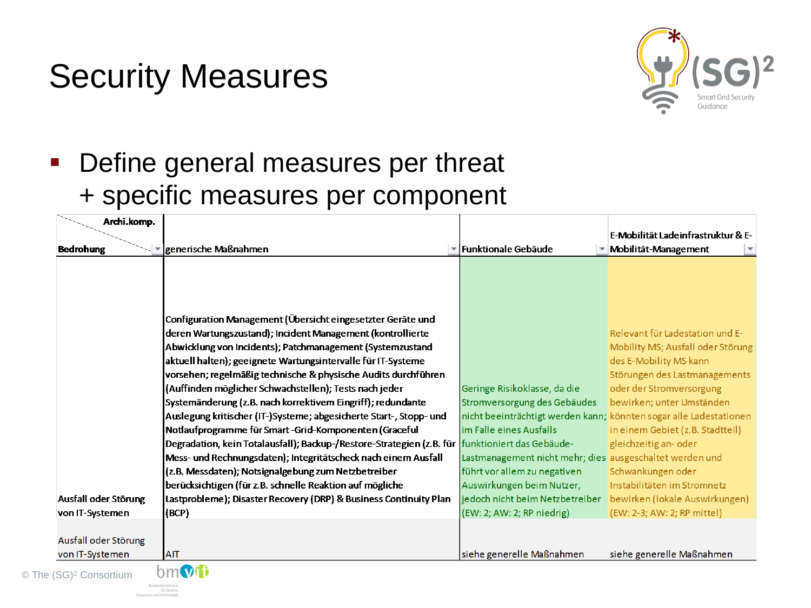### Security Measures

**Kirkevier** 

 $©$  The



#### **• Define general measures per threat** + specific measures per component

| Archi.komp.                  |                                                                                                 |                                                                    | E-Mobilität Ladeinfrastruktur & E- |
|------------------------------|-------------------------------------------------------------------------------------------------|--------------------------------------------------------------------|------------------------------------|
| <b>Bedrohung</b>             | generische Maßnahmen                                                                            | ▼ Funktionale Gebäude                                              | Mobilität-Management               |
|                              |                                                                                                 |                                                                    |                                    |
|                              |                                                                                                 |                                                                    |                                    |
|                              |                                                                                                 |                                                                    |                                    |
|                              | Configuration Management (Übersicht eingesetzter Geräte und                                     |                                                                    |                                    |
|                              | deren Wartungszustand); Incident Management (kontrollierte                                      |                                                                    | Relevant für Ladestation und E-    |
|                              | Abwicklung von Incidents); Patchmanagement (Systemzustand                                       |                                                                    | Mobility MS; Ausfall oder Störung  |
|                              | aktuell halten); geeignete Wartungsintervalle für IT-Systeme                                    |                                                                    | des E-Mobility MS kann             |
|                              | vorsehen; regelmäßig technische & physische Audits durchführen                                  |                                                                    | Störungen des Lastmanagements      |
|                              | (Auffinden möglicher Schwachstellen); Tests nach jeder                                          | Geringe Risikoklasse, da die                                       | oder der Stromversorgung           |
|                              | Systemänderung (z.B. nach korrektivem Eingriff); redundante                                     | Stromversorgung des Gebäudes                                       | bewirken; unter Umständen          |
|                              | Auslegung kritischer (IT-)Systeme; abgesicherte Start-, Stopp- und                              | nicht beeinträchtigt werden kann; könnten sogar alle Ladestationen |                                    |
|                              | Notlaufprogramme für Smart-Grid-Komponenten (Graceful                                           | im Falle eines Ausfalls                                            | in einem Gebiet (z.B. Stadtteil)   |
|                              | Degradation, kein Totalausfall); Backup-/Restore-Strategien (z.B. für funktioniert das Gebäude- |                                                                    | gleichzeitig an- oder              |
|                              | Mess- und Rechnungsdaten); Integritätscheck nach einem Ausfall                                  | Lastmanagement nicht mehr; dies ausgeschaltet werden und           |                                    |
|                              | (z.B. Messdaten); Notsignalgebung zum Netzbetreiber                                             | führt vor allem zu negativen                                       | Schwankungen oder                  |
|                              | berücksichtigen (für z.B. schnelle Reaktion auf mögliche                                        | Auswirkungen beim Nutzer,                                          | Instabilitäten im Stromnetz        |
| Ausfall oder Störung         | Lastprobleme); Disaster Recovery (DRP) & Business Continuity Plan                               | jedoch nicht beim Netzbetreiber                                    | bewirken (lokale Auswirkungen)     |
| von IT-Systemen              | (BCP)                                                                                           | (EW: 2; AW: 2; RP niedrig)                                         | (EW: 2-3; AW: 2; RP mittel)        |
|                              |                                                                                                 |                                                                    |                                    |
| Ausfall oder Störung         |                                                                                                 |                                                                    |                                    |
| von IT-Systemen              | <b>AIT</b>                                                                                      | siehe generelle Maßnahmen                                          | siehe generelle Maßnahmen          |
| (SG) <sup>2</sup> Consortium |                                                                                                 |                                                                    |                                    |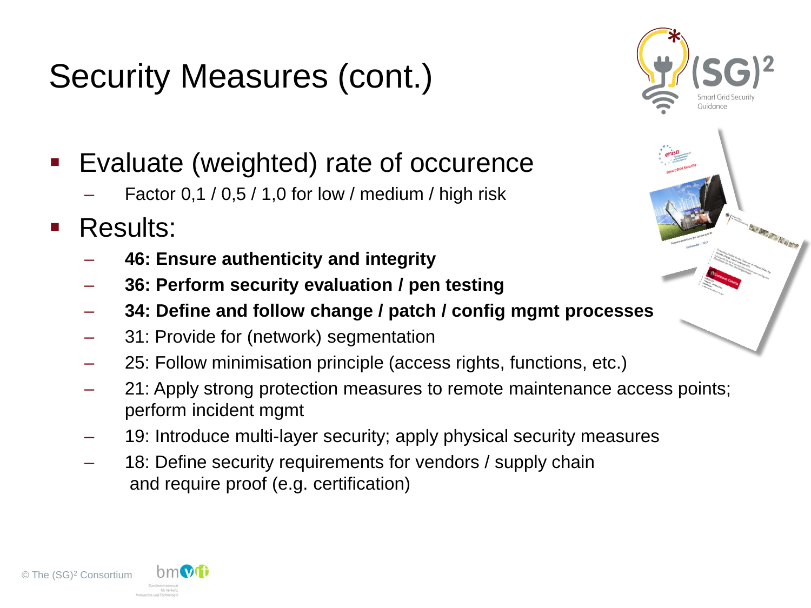# Security Measures (cont.)



- Evaluate (weighted) rate of occurence
	- Factor  $0,1/0,5/1,0$  for low / medium / high risk
- **Results:** 
	- **46: Ensure authenticity and integrity**
	- **36: Perform security evaluation / pen testing**
	- **34: Define and follow change / patch / config mgmt processes**
	- 31: Provide for (network) segmentation
	- 25: Follow minimisation principle (access rights, functions, etc.)
	- 21: Apply strong protection measures to remote maintenance access points; perform incident mgmt
	- 19: Introduce multi-layer security; apply physical security measures
	- 18: Define security requirements for vendors / supply chain and require proof (e.g. certification)

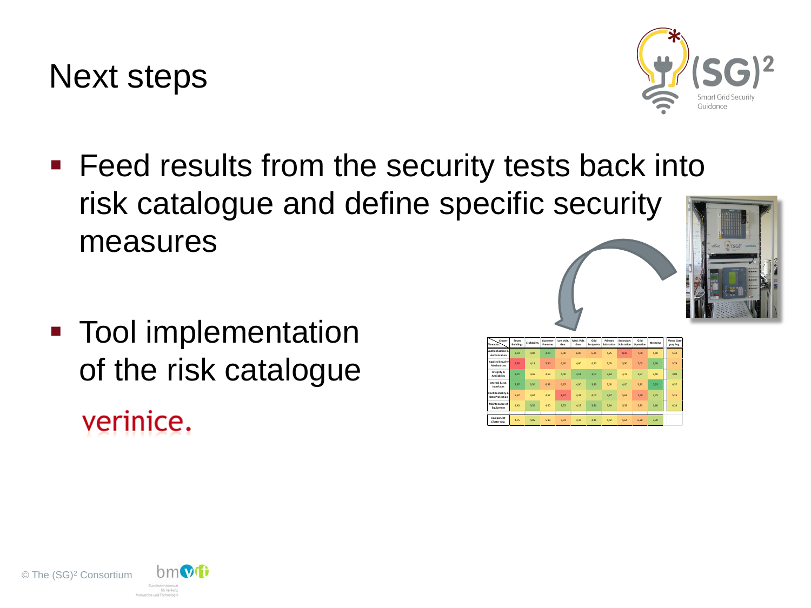© The (SG)2 Consortium



# **Tool implementation** of the risk catalogue verinice.

**Feed results from the security tests back into** risk catalogue and define specific security measures

> **Cluster Threat to…**

**Authentication &** 

 **Applied Security** 

**Integrity &** 

**Internal & ext.** 

**Confidentiality &** 

**Maintenance of** 

*Component* 

**Smart Buildings E-Mobility Customer Premises Low Volt. Gen. Med. Volt. Gen. Grid Testpoints Primary Substation Secondary Substation Grid Operation Metering** *Threat Category Avg.*

**Authorisation** 3,50 4,00 3,00 6,00 6,00 6,25 5,25 8,25 7,00 5,00 5,43

**Mechanisms** 9,50 4,15 7,50 6,40 4,60 4,70 5,05 5,90 7,05 3,00 5,79

**Availability** 2,71 4,46 4,69 4,00 3,13 3,07 3,64 4,72 3,97 4,50 3,89

**Interfaces** 2,67 3,50 6,33 6,67 4,00 3,33 5,00 4,00 5,83 2,33 4,37

**Data Protection** 5,67 4,67 4,67 8,67 4,33 4,00 3,67 5,63 7,50 3,75 5,25

**Equipment** 4,43 3,50 4,60 3,75 4,15 3,31 3,94 5,33 5,83 3,60 4,24

*Cluster Avg.* 4,75 4,05 5,13 5,91 4,37 4,11 4,42 5,64 6,20 3,70

Next steps